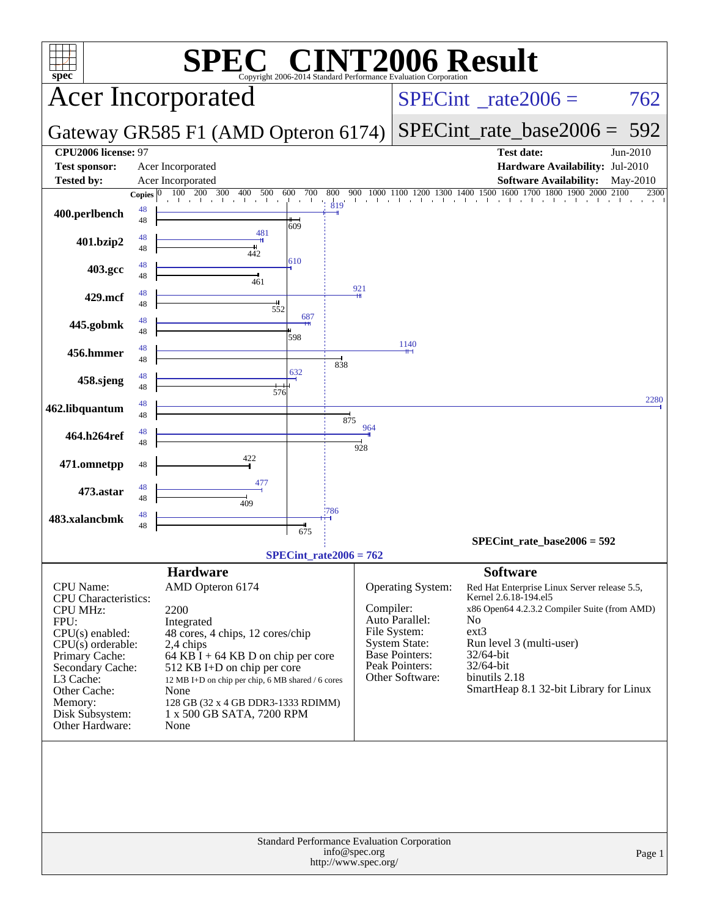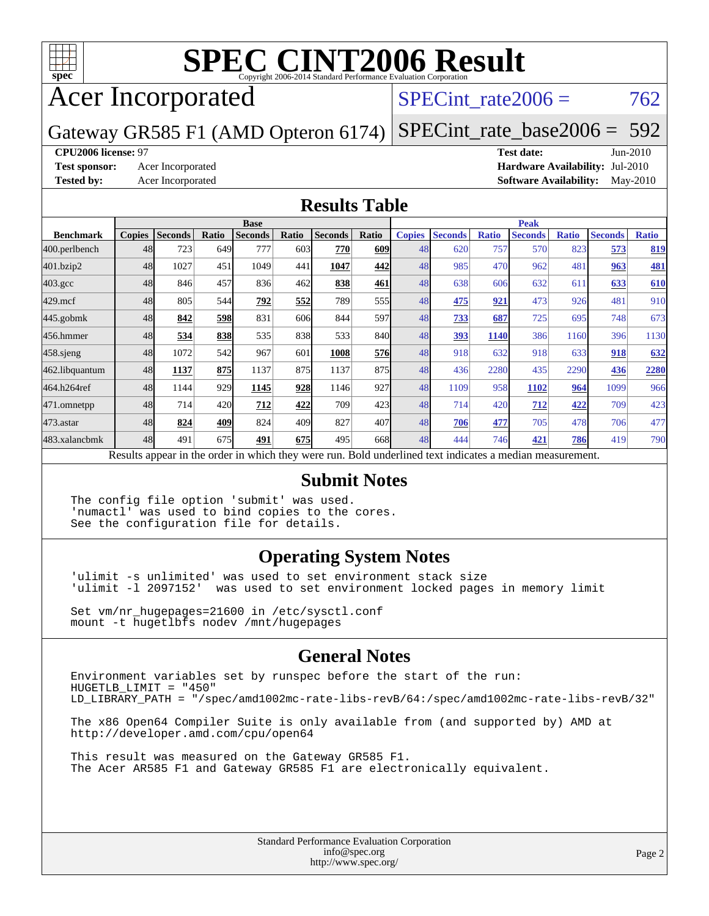

# **[SPEC CINT2006 Result](http://www.spec.org/auto/cpu2006/Docs/result-fields.html#SPECCINT2006Result)**

# Acer Incorporated

### SPECint rate $2006 = 762$

Gateway GR585 F1 (AMD Opteron 6174) [SPECint\\_rate\\_base2006 =](http://www.spec.org/auto/cpu2006/Docs/result-fields.html#SPECintratebase2006) 592

### **[CPU2006 license:](http://www.spec.org/auto/cpu2006/Docs/result-fields.html#CPU2006license)** 97 **[Test date:](http://www.spec.org/auto/cpu2006/Docs/result-fields.html#Testdate)** Jun-2010

**[Test sponsor:](http://www.spec.org/auto/cpu2006/Docs/result-fields.html#Testsponsor)** Acer Incorporated **[Hardware Availability:](http://www.spec.org/auto/cpu2006/Docs/result-fields.html#HardwareAvailability)** Jul-2010 **[Tested by:](http://www.spec.org/auto/cpu2006/Docs/result-fields.html#Testedby)** Acer Incorporated **[Software Availability:](http://www.spec.org/auto/cpu2006/Docs/result-fields.html#SoftwareAvailability)** May-2010

### **[Results Table](http://www.spec.org/auto/cpu2006/Docs/result-fields.html#ResultsTable)**

|                  | <b>Base</b>   |                |              |                |       |                                                                                                          |       | <b>Peak</b>   |                |              |                |              |                |              |
|------------------|---------------|----------------|--------------|----------------|-------|----------------------------------------------------------------------------------------------------------|-------|---------------|----------------|--------------|----------------|--------------|----------------|--------------|
| <b>Benchmark</b> | <b>Copies</b> | <b>Seconds</b> | <b>Ratio</b> | <b>Seconds</b> | Ratio | <b>Seconds</b>                                                                                           | Ratio | <b>Copies</b> | <b>Seconds</b> | <b>Ratio</b> | <b>Seconds</b> | <b>Ratio</b> | <b>Seconds</b> | <b>Ratio</b> |
| 400.perlbench    | 48            | 723            | 649          | 777            | 603   | 770                                                                                                      | 609   | 48            | 620            | 757          | 570            | 823          | 573            | 819          |
| 401.bzip2        | 48            | 1027           | 451          | 1049           | 441   | 1047                                                                                                     | 442   | 48            | 985            | 470          | 962            | 481          | 963            | <b>481</b>   |
| $403.\text{gcc}$ | 48            | 846            | 457          | 836            | 462   | 838                                                                                                      | 461   | 48            | 638            | 606          | 632            | 611          | 633            | 610          |
| $429$ .mcf       | 48            | 805            | 544          | 792            | 552   | 789                                                                                                      | 555   | 48            | 475            | 921          | 473            | 926          | 481            | 910          |
| $445$ .gobm $k$  | 48            | 842            | 598          | 831            | 606   | 844                                                                                                      | 597   | 48            | 733            | 687          | 725            | 695          | 748            | 673          |
| 456.hmmer        | 48            | 534            | 838          | 535            | 838   | 533                                                                                                      | 840   | 48            | 393            | 1140         | 386            | 1160         | 396            | 1130         |
| $458$ .sjeng     | 48            | 1072           | 542          | 967            | 601   | 1008                                                                                                     | 576   | 48            | 918            | 632          | 918            | 633          | 918            | 632          |
| 462.libquantum   | 48            | 1137           | 875          | 1137           | 875   | 1137                                                                                                     | 875   | 48            | 436            | 2280         | 435            | 2290         | 436            | 2280         |
| 464.h264ref      | 48            | 1144           | 929          | 1145           | 928   | 1146                                                                                                     | 927   | 48            | 1109           | 958          | 1102           | 964          | 1099           | 966          |
| 471.omnetpp      | 48            | 714            | 420          | 712            | 422   | 709                                                                                                      | 423   | 48            | 714            | 420          | 712            | <u>422</u>   | 709            | 423          |
| $473$ . astar    | 48            | 824            | 409          | 824            | 409   | 827                                                                                                      | 407   | 48            | 706            | 477          | 705            | 478          | 706            | 477          |
| 483.xalancbmk    | 48            | 491            | 675          | 491            | 675   | 495                                                                                                      | 668I  | 48            | 444            | 746          | 421            | 786          | 419            | 790          |
|                  |               |                |              |                |       | Results appear in the order in which they were run. Bold underlined text indicates a median measurement. |       |               |                |              |                |              |                |              |

### **[Submit Notes](http://www.spec.org/auto/cpu2006/Docs/result-fields.html#SubmitNotes)**

The config file option 'submit' was used. 'numactl' was used to bind copies to the cores. See the configuration file for details.

### **[Operating System Notes](http://www.spec.org/auto/cpu2006/Docs/result-fields.html#OperatingSystemNotes)**

'ulimit -s unlimited' was used to set environment stack size 'ulimit -l 2097152' was used to set environment locked pages in memory limit

Set vm/nr\_hugepages=21600 in /etc/sysctl.conf mount -t hugetlbfs nodev /mnt/hugepages

### **[General Notes](http://www.spec.org/auto/cpu2006/Docs/result-fields.html#GeneralNotes)**

Environment variables set by runspec before the start of the run: HUGETLB\_LIMIT = "450" LD\_LIBRARY\_PATH = "/spec/amd1002mc-rate-libs-revB/64:/spec/amd1002mc-rate-libs-revB/32"

The x86 Open64 Compiler Suite is only available from (and supported by) AMD at <http://developer.amd.com/cpu/open64>

This result was measured on the Gateway GR585 F1. The Acer AR585 F1 and Gateway GR585 F1 are electronically equivalent.

> Standard Performance Evaluation Corporation [info@spec.org](mailto:info@spec.org) <http://www.spec.org/>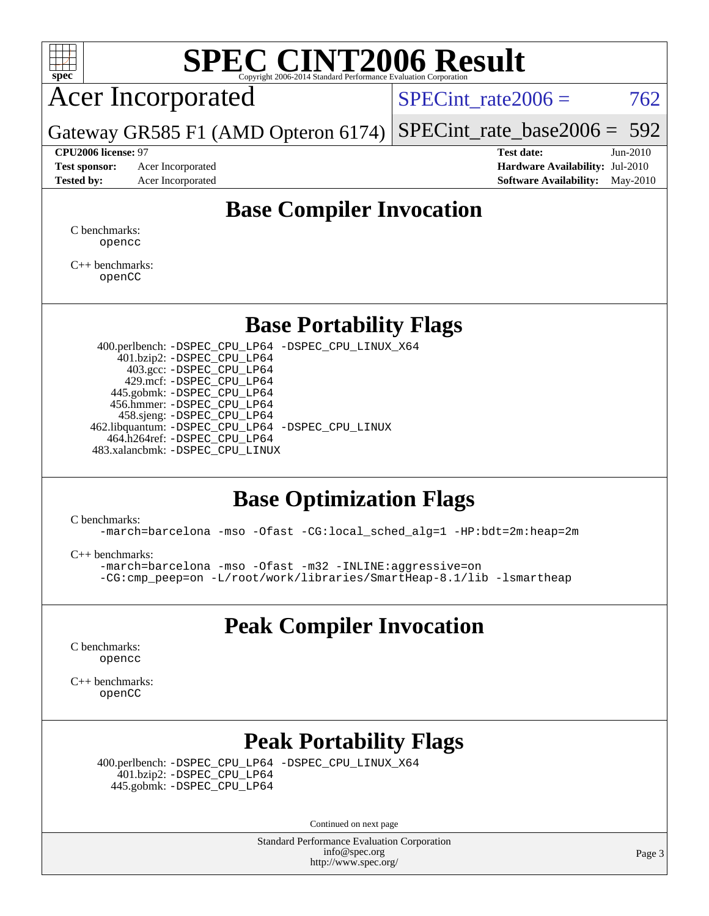

# **[SPEC CINT2006 Result](http://www.spec.org/auto/cpu2006/Docs/result-fields.html#SPECCINT2006Result)**

## Acer Incorporated

SPECint rate $2006 = 762$ 

Gateway GR585 F1 (AMD Opteron 6174) [SPECint\\_rate\\_base2006 =](http://www.spec.org/auto/cpu2006/Docs/result-fields.html#SPECintratebase2006) 592

**[Test sponsor:](http://www.spec.org/auto/cpu2006/Docs/result-fields.html#Testsponsor)** Acer Incorporated **[Hardware Availability:](http://www.spec.org/auto/cpu2006/Docs/result-fields.html#HardwareAvailability)** Jul-2010

**[CPU2006 license:](http://www.spec.org/auto/cpu2006/Docs/result-fields.html#CPU2006license)** 97 **[Test date:](http://www.spec.org/auto/cpu2006/Docs/result-fields.html#Testdate)** Jun-2010 **[Tested by:](http://www.spec.org/auto/cpu2006/Docs/result-fields.html#Testedby)** Acer Incorporated **[Software Availability:](http://www.spec.org/auto/cpu2006/Docs/result-fields.html#SoftwareAvailability)** May-2010

### **[Base Compiler Invocation](http://www.spec.org/auto/cpu2006/Docs/result-fields.html#BaseCompilerInvocation)**

[C benchmarks](http://www.spec.org/auto/cpu2006/Docs/result-fields.html#Cbenchmarks): [opencc](http://www.spec.org/cpu2006/results/res2010q3/cpu2006-20100706-12361.flags.html#user_CCbase_Fopencc)

[C++ benchmarks:](http://www.spec.org/auto/cpu2006/Docs/result-fields.html#CXXbenchmarks) [openCC](http://www.spec.org/cpu2006/results/res2010q3/cpu2006-20100706-12361.flags.html#user_CXXbase_FopenCC)

### **[Base Portability Flags](http://www.spec.org/auto/cpu2006/Docs/result-fields.html#BasePortabilityFlags)**

 400.perlbench: [-DSPEC\\_CPU\\_LP64](http://www.spec.org/cpu2006/results/res2010q3/cpu2006-20100706-12361.flags.html#b400.perlbench_basePORTABILITY_DSPEC_CPU_LP64) [-DSPEC\\_CPU\\_LINUX\\_X64](http://www.spec.org/cpu2006/results/res2010q3/cpu2006-20100706-12361.flags.html#b400.perlbench_baseCPORTABILITY_DSPEC_CPU_LINUX_X64) 401.bzip2: [-DSPEC\\_CPU\\_LP64](http://www.spec.org/cpu2006/results/res2010q3/cpu2006-20100706-12361.flags.html#suite_basePORTABILITY401_bzip2_DSPEC_CPU_LP64) 403.gcc: [-DSPEC\\_CPU\\_LP64](http://www.spec.org/cpu2006/results/res2010q3/cpu2006-20100706-12361.flags.html#suite_basePORTABILITY403_gcc_DSPEC_CPU_LP64) 429.mcf: [-DSPEC\\_CPU\\_LP64](http://www.spec.org/cpu2006/results/res2010q3/cpu2006-20100706-12361.flags.html#suite_basePORTABILITY429_mcf_DSPEC_CPU_LP64) 445.gobmk: [-DSPEC\\_CPU\\_LP64](http://www.spec.org/cpu2006/results/res2010q3/cpu2006-20100706-12361.flags.html#suite_basePORTABILITY445_gobmk_DSPEC_CPU_LP64) 456.hmmer: [-DSPEC\\_CPU\\_LP64](http://www.spec.org/cpu2006/results/res2010q3/cpu2006-20100706-12361.flags.html#suite_basePORTABILITY456_hmmer_DSPEC_CPU_LP64) 458.sjeng: [-DSPEC\\_CPU\\_LP64](http://www.spec.org/cpu2006/results/res2010q3/cpu2006-20100706-12361.flags.html#suite_basePORTABILITY458_sjeng_DSPEC_CPU_LP64) 462.libquantum: [-DSPEC\\_CPU\\_LP64](http://www.spec.org/cpu2006/results/res2010q3/cpu2006-20100706-12361.flags.html#suite_basePORTABILITY462_libquantum_DSPEC_CPU_LP64) [-DSPEC\\_CPU\\_LINUX](http://www.spec.org/cpu2006/results/res2010q3/cpu2006-20100706-12361.flags.html#b462.libquantum_baseCPORTABILITY_DSPEC_CPU_LINUX) 464.h264ref: [-DSPEC\\_CPU\\_LP64](http://www.spec.org/cpu2006/results/res2010q3/cpu2006-20100706-12361.flags.html#suite_basePORTABILITY464_h264ref_DSPEC_CPU_LP64) 483.xalancbmk: [-DSPEC\\_CPU\\_LINUX](http://www.spec.org/cpu2006/results/res2010q3/cpu2006-20100706-12361.flags.html#b483.xalancbmk_baseCXXPORTABILITY_DSPEC_CPU_LINUX)

### **[Base Optimization Flags](http://www.spec.org/auto/cpu2006/Docs/result-fields.html#BaseOptimizationFlags)**

[C benchmarks](http://www.spec.org/auto/cpu2006/Docs/result-fields.html#Cbenchmarks):

[-march=barcelona](http://www.spec.org/cpu2006/results/res2010q3/cpu2006-20100706-12361.flags.html#user_CCbase_F-march_8ea39521cada96f307a04d0b8b9c6ffb) [-mso](http://www.spec.org/cpu2006/results/res2010q3/cpu2006-20100706-12361.flags.html#user_CCbase_F-mso) [-Ofast](http://www.spec.org/cpu2006/results/res2010q3/cpu2006-20100706-12361.flags.html#user_CCbase_F-Ofast) [-CG:local\\_sched\\_alg=1](http://www.spec.org/cpu2006/results/res2010q3/cpu2006-20100706-12361.flags.html#user_CCbase_F-CG:local_sched_alg_2175ca61f1a2717f1ec57b14995b9e7a) [-HP:bdt=2m:heap=2m](http://www.spec.org/cpu2006/results/res2010q3/cpu2006-20100706-12361.flags.html#user_CCbase_F-HUGEPAGE_855e97383b49831f390a2af16fe7202f)

[C++ benchmarks:](http://www.spec.org/auto/cpu2006/Docs/result-fields.html#CXXbenchmarks)

[-march=barcelona](http://www.spec.org/cpu2006/results/res2010q3/cpu2006-20100706-12361.flags.html#user_CXXbase_F-march_8ea39521cada96f307a04d0b8b9c6ffb) [-mso](http://www.spec.org/cpu2006/results/res2010q3/cpu2006-20100706-12361.flags.html#user_CXXbase_F-mso) [-Ofast](http://www.spec.org/cpu2006/results/res2010q3/cpu2006-20100706-12361.flags.html#user_CXXbase_F-Ofast) [-m32](http://www.spec.org/cpu2006/results/res2010q3/cpu2006-20100706-12361.flags.html#user_CXXbase_F-m32) [-INLINE:aggressive=on](http://www.spec.org/cpu2006/results/res2010q3/cpu2006-20100706-12361.flags.html#user_CXXbase_F-INLINE:aggressive_e14807c0a1e56a6a83cb25ab07c7ae8a) [-CG:cmp\\_peep=on](http://www.spec.org/cpu2006/results/res2010q3/cpu2006-20100706-12361.flags.html#user_CXXbase_F-CG:cmp_peep_ab90c979e95bee1f1f617a32622424ed) [-L/root/work/libraries/SmartHeap-8.1/lib -lsmartheap](http://www.spec.org/cpu2006/results/res2010q3/cpu2006-20100706-12361.flags.html#user_CXXbase_F-L_lib_directory_lsmartheap_9ab549d8336b8b0ffe7b94e3ae706265)

### **[Peak Compiler Invocation](http://www.spec.org/auto/cpu2006/Docs/result-fields.html#PeakCompilerInvocation)**

[C benchmarks](http://www.spec.org/auto/cpu2006/Docs/result-fields.html#Cbenchmarks): [opencc](http://www.spec.org/cpu2006/results/res2010q3/cpu2006-20100706-12361.flags.html#user_CCpeak_Fopencc)

[C++ benchmarks:](http://www.spec.org/auto/cpu2006/Docs/result-fields.html#CXXbenchmarks) [openCC](http://www.spec.org/cpu2006/results/res2010q3/cpu2006-20100706-12361.flags.html#user_CXXpeak_FopenCC)

## **[Peak Portability Flags](http://www.spec.org/auto/cpu2006/Docs/result-fields.html#PeakPortabilityFlags)**

 400.perlbench: [-DSPEC\\_CPU\\_LP64](http://www.spec.org/cpu2006/results/res2010q3/cpu2006-20100706-12361.flags.html#b400.perlbench_peakPORTABILITY_DSPEC_CPU_LP64) [-DSPEC\\_CPU\\_LINUX\\_X64](http://www.spec.org/cpu2006/results/res2010q3/cpu2006-20100706-12361.flags.html#b400.perlbench_peakCPORTABILITY_DSPEC_CPU_LINUX_X64) 401.bzip2: [-DSPEC\\_CPU\\_LP64](http://www.spec.org/cpu2006/results/res2010q3/cpu2006-20100706-12361.flags.html#suite_peakPORTABILITY401_bzip2_DSPEC_CPU_LP64) 445.gobmk: [-DSPEC\\_CPU\\_LP64](http://www.spec.org/cpu2006/results/res2010q3/cpu2006-20100706-12361.flags.html#suite_peakPORTABILITY445_gobmk_DSPEC_CPU_LP64)

Continued on next page

Standard Performance Evaluation Corporation [info@spec.org](mailto:info@spec.org) <http://www.spec.org/>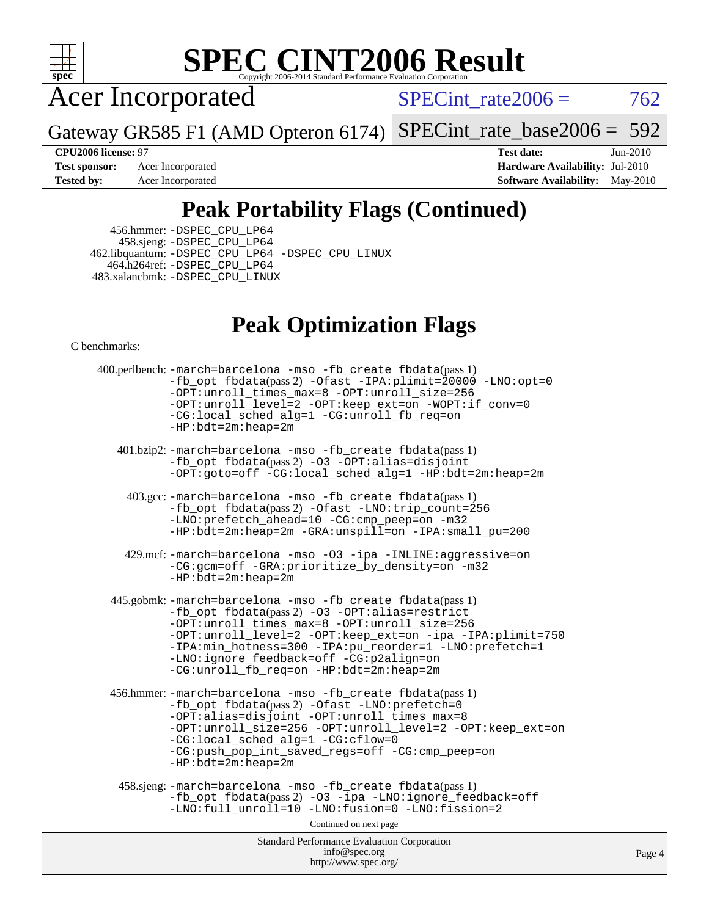

# **[SPEC CINT2006 Result](http://www.spec.org/auto/cpu2006/Docs/result-fields.html#SPECCINT2006Result)**

Acer Incorporated

SPECint\_rate $2006 = 762$ 

Gateway GR585 F1 (AMD Opteron 6174) [SPECint\\_rate\\_base2006 =](http://www.spec.org/auto/cpu2006/Docs/result-fields.html#SPECintratebase2006) 592

**[CPU2006 license:](http://www.spec.org/auto/cpu2006/Docs/result-fields.html#CPU2006license)** 97 **[Test date:](http://www.spec.org/auto/cpu2006/Docs/result-fields.html#Testdate)** Jun-2010 **[Test sponsor:](http://www.spec.org/auto/cpu2006/Docs/result-fields.html#Testsponsor)** Acer Incorporated **Acer Incorporated <b>[Hardware Availability:](http://www.spec.org/auto/cpu2006/Docs/result-fields.html#HardwareAvailability)** Jul-2010 **[Tested by:](http://www.spec.org/auto/cpu2006/Docs/result-fields.html#Testedby)** Acer Incorporated **[Software Availability:](http://www.spec.org/auto/cpu2006/Docs/result-fields.html#SoftwareAvailability)** May-2010

# **[Peak Portability Flags \(Continued\)](http://www.spec.org/auto/cpu2006/Docs/result-fields.html#PeakPortabilityFlags)**

 456.hmmer: [-DSPEC\\_CPU\\_LP64](http://www.spec.org/cpu2006/results/res2010q3/cpu2006-20100706-12361.flags.html#suite_peakPORTABILITY456_hmmer_DSPEC_CPU_LP64) 458.sjeng: [-DSPEC\\_CPU\\_LP64](http://www.spec.org/cpu2006/results/res2010q3/cpu2006-20100706-12361.flags.html#suite_peakPORTABILITY458_sjeng_DSPEC_CPU_LP64) 462.libquantum: [-DSPEC\\_CPU\\_LP64](http://www.spec.org/cpu2006/results/res2010q3/cpu2006-20100706-12361.flags.html#suite_peakPORTABILITY462_libquantum_DSPEC_CPU_LP64) [-DSPEC\\_CPU\\_LINUX](http://www.spec.org/cpu2006/results/res2010q3/cpu2006-20100706-12361.flags.html#b462.libquantum_peakCPORTABILITY_DSPEC_CPU_LINUX) 464.h264ref: [-DSPEC\\_CPU\\_LP64](http://www.spec.org/cpu2006/results/res2010q3/cpu2006-20100706-12361.flags.html#suite_peakPORTABILITY464_h264ref_DSPEC_CPU_LP64) 483.xalancbmk: [-DSPEC\\_CPU\\_LINUX](http://www.spec.org/cpu2006/results/res2010q3/cpu2006-20100706-12361.flags.html#b483.xalancbmk_peakCXXPORTABILITY_DSPEC_CPU_LINUX)

## **[Peak Optimization Flags](http://www.spec.org/auto/cpu2006/Docs/result-fields.html#PeakOptimizationFlags)**

[C benchmarks](http://www.spec.org/auto/cpu2006/Docs/result-fields.html#Cbenchmarks):

Standard Performance Evaluation Corporation [info@spec.org](mailto:info@spec.org) <http://www.spec.org/> Page 4 400.perlbench: [-march=barcelona](http://www.spec.org/cpu2006/results/res2010q3/cpu2006-20100706-12361.flags.html#user_peakCCLD400_perlbench_F-march_8ea39521cada96f307a04d0b8b9c6ffb) [-mso](http://www.spec.org/cpu2006/results/res2010q3/cpu2006-20100706-12361.flags.html#user_peakCCLD400_perlbench_F-mso) [-fb\\_create fbdata](http://www.spec.org/cpu2006/results/res2010q3/cpu2006-20100706-12361.flags.html#user_peakPASS1_CFLAGSPASS1_LDFLAGS400_perlbench_F-fb_create_filename)(pass 1) [-fb\\_opt fbdata](http://www.spec.org/cpu2006/results/res2010q3/cpu2006-20100706-12361.flags.html#user_peakPASS2_CFLAGSPASS2_LDFLAGS400_perlbench_F-fb_opt_filename)(pass 2) [-Ofast](http://www.spec.org/cpu2006/results/res2010q3/cpu2006-20100706-12361.flags.html#user_peakCOPTIMIZE400_perlbench_F-Ofast) [-IPA:plimit=20000](http://www.spec.org/cpu2006/results/res2010q3/cpu2006-20100706-12361.flags.html#user_peakCOPTIMIZE400_perlbench_F-IPA:plimit_89e6fd9421ace0d5dab294a0a1b8be33) [-LNO:opt=0](http://www.spec.org/cpu2006/results/res2010q3/cpu2006-20100706-12361.flags.html#user_peakCOPTIMIZE400_perlbench_F-LNO:opt_b91e8b13d06f45039299c6496cc69a5f) [-OPT:unroll\\_times\\_max=8](http://www.spec.org/cpu2006/results/res2010q3/cpu2006-20100706-12361.flags.html#user_peakCOPTIMIZE400_perlbench_F-OPT:unroll_times_max_1ad8852298ca2c36a68b2d007aae0e22) [-OPT:unroll\\_size=256](http://www.spec.org/cpu2006/results/res2010q3/cpu2006-20100706-12361.flags.html#user_peakCOPTIMIZE400_perlbench_F-OPT:unroll_size_dfa492f42f50f580c3837c8b22d14f27) [-OPT:unroll\\_level=2](http://www.spec.org/cpu2006/results/res2010q3/cpu2006-20100706-12361.flags.html#user_peakCOPTIMIZE400_perlbench_F-OPT:unroll_level_2cd767e66711a193dd7aad8ffe1e4d20) [-OPT:keep\\_ext=on](http://www.spec.org/cpu2006/results/res2010q3/cpu2006-20100706-12361.flags.html#user_peakCOPTIMIZE400_perlbench_F-OPT:keep_ext_4dbb9969188886aadf10437ce9577910) [-WOPT:if\\_conv=0](http://www.spec.org/cpu2006/results/res2010q3/cpu2006-20100706-12361.flags.html#user_peakCOPTIMIZE400_perlbench_F-WOPT:if_conv_3763321a358ff896b32d6152fd83e145) [-CG:local\\_sched\\_alg=1](http://www.spec.org/cpu2006/results/res2010q3/cpu2006-20100706-12361.flags.html#user_peakCOPTIMIZE400_perlbench_F-CG:local_sched_alg_2175ca61f1a2717f1ec57b14995b9e7a) [-CG:unroll\\_fb\\_req=on](http://www.spec.org/cpu2006/results/res2010q3/cpu2006-20100706-12361.flags.html#user_peakCOPTIMIZE400_perlbench_F-CG:unroll_fb_req_6669f978801820a53c68eded7a4f0485) [-HP:bdt=2m:heap=2m](http://www.spec.org/cpu2006/results/res2010q3/cpu2006-20100706-12361.flags.html#user_peakCOPTIMIZE400_perlbench_F-HUGEPAGE_855e97383b49831f390a2af16fe7202f) 401.bzip2: [-march=barcelona](http://www.spec.org/cpu2006/results/res2010q3/cpu2006-20100706-12361.flags.html#user_peakCCLD401_bzip2_F-march_8ea39521cada96f307a04d0b8b9c6ffb) [-mso](http://www.spec.org/cpu2006/results/res2010q3/cpu2006-20100706-12361.flags.html#user_peakCCLD401_bzip2_F-mso) [-fb\\_create fbdata](http://www.spec.org/cpu2006/results/res2010q3/cpu2006-20100706-12361.flags.html#user_peakPASS1_CFLAGSPASS1_LDFLAGS401_bzip2_F-fb_create_filename)(pass 1) [-fb\\_opt fbdata](http://www.spec.org/cpu2006/results/res2010q3/cpu2006-20100706-12361.flags.html#user_peakPASS2_CFLAGSPASS2_LDFLAGS401_bzip2_F-fb_opt_filename)(pass 2) [-O3](http://www.spec.org/cpu2006/results/res2010q3/cpu2006-20100706-12361.flags.html#user_peakCOPTIMIZE401_bzip2_F-O3) [-OPT:alias=disjoint](http://www.spec.org/cpu2006/results/res2010q3/cpu2006-20100706-12361.flags.html#user_peakCOPTIMIZE401_bzip2_F-OPT:alias_af85d624bc8c113f27b06a81a9df063d) [-OPT:goto=off](http://www.spec.org/cpu2006/results/res2010q3/cpu2006-20100706-12361.flags.html#user_peakCOPTIMIZE401_bzip2_F-OPT:goto_b8760493db7ddb90acc865b6d90bb5de) [-CG:local\\_sched\\_alg=1](http://www.spec.org/cpu2006/results/res2010q3/cpu2006-20100706-12361.flags.html#user_peakCOPTIMIZE401_bzip2_F-CG:local_sched_alg_2175ca61f1a2717f1ec57b14995b9e7a) [-HP:bdt=2m:heap=2m](http://www.spec.org/cpu2006/results/res2010q3/cpu2006-20100706-12361.flags.html#user_peakCOPTIMIZE401_bzip2_F-HUGEPAGE_855e97383b49831f390a2af16fe7202f) 403.gcc: [-march=barcelona](http://www.spec.org/cpu2006/results/res2010q3/cpu2006-20100706-12361.flags.html#user_peakCCLD403_gcc_F-march_8ea39521cada96f307a04d0b8b9c6ffb) [-mso](http://www.spec.org/cpu2006/results/res2010q3/cpu2006-20100706-12361.flags.html#user_peakCCLD403_gcc_F-mso) [-fb\\_create fbdata](http://www.spec.org/cpu2006/results/res2010q3/cpu2006-20100706-12361.flags.html#user_peakPASS1_CFLAGSPASS1_LDFLAGS403_gcc_F-fb_create_filename)(pass 1) [-fb\\_opt fbdata](http://www.spec.org/cpu2006/results/res2010q3/cpu2006-20100706-12361.flags.html#user_peakPASS2_CFLAGSPASS2_LDFLAGS403_gcc_F-fb_opt_filename)(pass 2) [-Ofast](http://www.spec.org/cpu2006/results/res2010q3/cpu2006-20100706-12361.flags.html#user_peakCOPTIMIZE403_gcc_F-Ofast) [-LNO:trip\\_count=256](http://www.spec.org/cpu2006/results/res2010q3/cpu2006-20100706-12361.flags.html#user_peakCOPTIMIZE403_gcc_F-LNO:trip_count_fda57506a3ecf9651535a9a8fb03b434) [-LNO:prefetch\\_ahead=10](http://www.spec.org/cpu2006/results/res2010q3/cpu2006-20100706-12361.flags.html#user_peakCOPTIMIZE403_gcc_F-LNO:prefetch_ahead_dd92ad2fa0fda9c22e1b1c18e5a8e304) [-CG:cmp\\_peep=on](http://www.spec.org/cpu2006/results/res2010q3/cpu2006-20100706-12361.flags.html#user_peakCOPTIMIZE403_gcc_F-CG:cmp_peep_ab90c979e95bee1f1f617a32622424ed) [-m32](http://www.spec.org/cpu2006/results/res2010q3/cpu2006-20100706-12361.flags.html#user_peakCOPTIMIZE403_gcc_F-m32) [-HP:bdt=2m:heap=2m](http://www.spec.org/cpu2006/results/res2010q3/cpu2006-20100706-12361.flags.html#user_peakCOPTIMIZE403_gcc_F-HUGEPAGE_855e97383b49831f390a2af16fe7202f) [-GRA:unspill=on](http://www.spec.org/cpu2006/results/res2010q3/cpu2006-20100706-12361.flags.html#user_peakCOPTIMIZE403_gcc_F-GRA:unspill_1a6c98043856890311246be72b057593) [-IPA:small\\_pu=200](http://www.spec.org/cpu2006/results/res2010q3/cpu2006-20100706-12361.flags.html#user_peakCOPTIMIZE403_gcc_F-IPA:small_pu_9e003d10925fc6bd9336e5337d9e3a22) 429.mcf: [-march=barcelona](http://www.spec.org/cpu2006/results/res2010q3/cpu2006-20100706-12361.flags.html#user_peakCCLD429_mcf_F-march_8ea39521cada96f307a04d0b8b9c6ffb) [-mso](http://www.spec.org/cpu2006/results/res2010q3/cpu2006-20100706-12361.flags.html#user_peakCCLD429_mcf_F-mso) [-O3](http://www.spec.org/cpu2006/results/res2010q3/cpu2006-20100706-12361.flags.html#user_peakCOPTIMIZE429_mcf_F-O3) [-ipa](http://www.spec.org/cpu2006/results/res2010q3/cpu2006-20100706-12361.flags.html#user_peakCOPTIMIZE429_mcf_F-ipa) [-INLINE:aggressive=on](http://www.spec.org/cpu2006/results/res2010q3/cpu2006-20100706-12361.flags.html#user_peakCOPTIMIZE429_mcf_F-INLINE:aggressive_e14807c0a1e56a6a83cb25ab07c7ae8a) [-CG:gcm=off](http://www.spec.org/cpu2006/results/res2010q3/cpu2006-20100706-12361.flags.html#user_peakCOPTIMIZE429_mcf_F-CG:gcm_3afc0477d086a9a9afc1ccea25488f06) [-GRA:prioritize\\_by\\_density=on](http://www.spec.org/cpu2006/results/res2010q3/cpu2006-20100706-12361.flags.html#user_peakCOPTIMIZE429_mcf_F-GRA:prioritize_by_density_342c4fb73fe18829f920373223f095a5) [-m32](http://www.spec.org/cpu2006/results/res2010q3/cpu2006-20100706-12361.flags.html#user_peakCOPTIMIZE429_mcf_F-m32) [-HP:bdt=2m:heap=2m](http://www.spec.org/cpu2006/results/res2010q3/cpu2006-20100706-12361.flags.html#user_peakCOPTIMIZE429_mcf_F-HUGEPAGE_855e97383b49831f390a2af16fe7202f) 445.gobmk: [-march=barcelona](http://www.spec.org/cpu2006/results/res2010q3/cpu2006-20100706-12361.flags.html#user_peakCCLD445_gobmk_F-march_8ea39521cada96f307a04d0b8b9c6ffb) [-mso](http://www.spec.org/cpu2006/results/res2010q3/cpu2006-20100706-12361.flags.html#user_peakCCLD445_gobmk_F-mso) [-fb\\_create fbdata](http://www.spec.org/cpu2006/results/res2010q3/cpu2006-20100706-12361.flags.html#user_peakPASS1_CFLAGSPASS1_LDFLAGS445_gobmk_F-fb_create_filename)(pass 1) [-fb\\_opt fbdata](http://www.spec.org/cpu2006/results/res2010q3/cpu2006-20100706-12361.flags.html#user_peakPASS2_CFLAGSPASS2_LDFLAGS445_gobmk_F-fb_opt_filename)(pass 2) [-O3](http://www.spec.org/cpu2006/results/res2010q3/cpu2006-20100706-12361.flags.html#user_peakCOPTIMIZE445_gobmk_F-O3) [-OPT:alias=restrict](http://www.spec.org/cpu2006/results/res2010q3/cpu2006-20100706-12361.flags.html#user_peakCOPTIMIZE445_gobmk_F-OPT:alias_f74f95116c143118d3b7a69b27e837c8) [-OPT:unroll\\_times\\_max=8](http://www.spec.org/cpu2006/results/res2010q3/cpu2006-20100706-12361.flags.html#user_peakCOPTIMIZE445_gobmk_F-OPT:unroll_times_max_1ad8852298ca2c36a68b2d007aae0e22) [-OPT:unroll\\_size=256](http://www.spec.org/cpu2006/results/res2010q3/cpu2006-20100706-12361.flags.html#user_peakCOPTIMIZE445_gobmk_F-OPT:unroll_size_dfa492f42f50f580c3837c8b22d14f27) [-OPT:unroll\\_level=2](http://www.spec.org/cpu2006/results/res2010q3/cpu2006-20100706-12361.flags.html#user_peakCOPTIMIZE445_gobmk_F-OPT:unroll_level_2cd767e66711a193dd7aad8ffe1e4d20) [-OPT:keep\\_ext=on](http://www.spec.org/cpu2006/results/res2010q3/cpu2006-20100706-12361.flags.html#user_peakCOPTIMIZE445_gobmk_F-OPT:keep_ext_4dbb9969188886aadf10437ce9577910) [-ipa](http://www.spec.org/cpu2006/results/res2010q3/cpu2006-20100706-12361.flags.html#user_peakCOPTIMIZE445_gobmk_F-ipa) [-IPA:plimit=750](http://www.spec.org/cpu2006/results/res2010q3/cpu2006-20100706-12361.flags.html#user_peakCOPTIMIZE445_gobmk_F-IPA:plimit_d12b7edf4800746ab824f3a01a8ce117) [-IPA:min\\_hotness=300](http://www.spec.org/cpu2006/results/res2010q3/cpu2006-20100706-12361.flags.html#user_peakCOPTIMIZE445_gobmk_F-IPA:min_hotness_a22c9a7839d9fc5b8df1b53fa3adec91) [-IPA:pu\\_reorder=1](http://www.spec.org/cpu2006/results/res2010q3/cpu2006-20100706-12361.flags.html#user_peakCOPTIMIZE445_gobmk_F-IPA:pu_reorder_05e26b42f44c94362cdc386b470e6fd6) [-LNO:prefetch=1](http://www.spec.org/cpu2006/results/res2010q3/cpu2006-20100706-12361.flags.html#user_peakCOPTIMIZE445_gobmk_F-LNO:prefetch_0e04e5068d643a77d1eab8e86f5e8697) [-LNO:ignore\\_feedback=off](http://www.spec.org/cpu2006/results/res2010q3/cpu2006-20100706-12361.flags.html#user_peakCOPTIMIZE445_gobmk_F-LNO:ignore_feedback_1d6d06f39185b277a955c10dfd0a9a73) [-CG:p2align=on](http://www.spec.org/cpu2006/results/res2010q3/cpu2006-20100706-12361.flags.html#user_peakCOPTIMIZE445_gobmk_F-CG:p2align_eb931ffc34bd15f54521908a4451bda2) [-CG:unroll\\_fb\\_req=on](http://www.spec.org/cpu2006/results/res2010q3/cpu2006-20100706-12361.flags.html#user_peakCOPTIMIZE445_gobmk_F-CG:unroll_fb_req_6669f978801820a53c68eded7a4f0485) [-HP:bdt=2m:heap=2m](http://www.spec.org/cpu2006/results/res2010q3/cpu2006-20100706-12361.flags.html#user_peakCOPTIMIZE445_gobmk_F-HUGEPAGE_855e97383b49831f390a2af16fe7202f) 456.hmmer: [-march=barcelona](http://www.spec.org/cpu2006/results/res2010q3/cpu2006-20100706-12361.flags.html#user_peakCCLD456_hmmer_F-march_8ea39521cada96f307a04d0b8b9c6ffb) [-mso](http://www.spec.org/cpu2006/results/res2010q3/cpu2006-20100706-12361.flags.html#user_peakCCLD456_hmmer_F-mso) [-fb\\_create fbdata](http://www.spec.org/cpu2006/results/res2010q3/cpu2006-20100706-12361.flags.html#user_peakPASS1_CFLAGSPASS1_LDFLAGS456_hmmer_F-fb_create_filename)(pass 1) [-fb\\_opt fbdata](http://www.spec.org/cpu2006/results/res2010q3/cpu2006-20100706-12361.flags.html#user_peakPASS2_CFLAGSPASS2_LDFLAGS456_hmmer_F-fb_opt_filename)(pass 2) [-Ofast](http://www.spec.org/cpu2006/results/res2010q3/cpu2006-20100706-12361.flags.html#user_peakCOPTIMIZE456_hmmer_F-Ofast) [-LNO:prefetch=0](http://www.spec.org/cpu2006/results/res2010q3/cpu2006-20100706-12361.flags.html#user_peakCOPTIMIZE456_hmmer_F-LNO:prefetch_697fbd9f9feab3edac5397fc7beec995) [-OPT:alias=disjoint](http://www.spec.org/cpu2006/results/res2010q3/cpu2006-20100706-12361.flags.html#user_peakCOPTIMIZE456_hmmer_F-OPT:alias_af85d624bc8c113f27b06a81a9df063d) [-OPT:unroll\\_times\\_max=8](http://www.spec.org/cpu2006/results/res2010q3/cpu2006-20100706-12361.flags.html#user_peakCOPTIMIZE456_hmmer_F-OPT:unroll_times_max_1ad8852298ca2c36a68b2d007aae0e22) [-OPT:unroll\\_size=256](http://www.spec.org/cpu2006/results/res2010q3/cpu2006-20100706-12361.flags.html#user_peakCOPTIMIZE456_hmmer_F-OPT:unroll_size_dfa492f42f50f580c3837c8b22d14f27) [-OPT:unroll\\_level=2](http://www.spec.org/cpu2006/results/res2010q3/cpu2006-20100706-12361.flags.html#user_peakCOPTIMIZE456_hmmer_F-OPT:unroll_level_2cd767e66711a193dd7aad8ffe1e4d20) [-OPT:keep\\_ext=on](http://www.spec.org/cpu2006/results/res2010q3/cpu2006-20100706-12361.flags.html#user_peakCOPTIMIZE456_hmmer_F-OPT:keep_ext_4dbb9969188886aadf10437ce9577910) [-CG:local\\_sched\\_alg=1](http://www.spec.org/cpu2006/results/res2010q3/cpu2006-20100706-12361.flags.html#user_peakCOPTIMIZE456_hmmer_F-CG:local_sched_alg_2175ca61f1a2717f1ec57b14995b9e7a) [-CG:cflow=0](http://www.spec.org/cpu2006/results/res2010q3/cpu2006-20100706-12361.flags.html#user_peakCOPTIMIZE456_hmmer_F-CG:cflow_75ba632a6a95410c488fc5f313a16b42) [-CG:push\\_pop\\_int\\_saved\\_regs=off](http://www.spec.org/cpu2006/results/res2010q3/cpu2006-20100706-12361.flags.html#user_peakCOPTIMIZE456_hmmer_F-CG:push_pop_int_saved_regs_ae095e4f8df972ca26c2c920052f27bf) [-CG:cmp\\_peep=on](http://www.spec.org/cpu2006/results/res2010q3/cpu2006-20100706-12361.flags.html#user_peakCOPTIMIZE456_hmmer_F-CG:cmp_peep_ab90c979e95bee1f1f617a32622424ed) [-HP:bdt=2m:heap=2m](http://www.spec.org/cpu2006/results/res2010q3/cpu2006-20100706-12361.flags.html#user_peakCOPTIMIZE456_hmmer_F-HUGEPAGE_855e97383b49831f390a2af16fe7202f) 458.sjeng: [-march=barcelona](http://www.spec.org/cpu2006/results/res2010q3/cpu2006-20100706-12361.flags.html#user_peakCCLD458_sjeng_F-march_8ea39521cada96f307a04d0b8b9c6ffb) [-mso](http://www.spec.org/cpu2006/results/res2010q3/cpu2006-20100706-12361.flags.html#user_peakCCLD458_sjeng_F-mso) [-fb\\_create fbdata](http://www.spec.org/cpu2006/results/res2010q3/cpu2006-20100706-12361.flags.html#user_peakPASS1_CFLAGSPASS1_LDFLAGS458_sjeng_F-fb_create_filename)(pass 1) [-fb\\_opt fbdata](http://www.spec.org/cpu2006/results/res2010q3/cpu2006-20100706-12361.flags.html#user_peakPASS2_CFLAGSPASS2_LDFLAGS458_sjeng_F-fb_opt_filename)(pass 2) [-O3](http://www.spec.org/cpu2006/results/res2010q3/cpu2006-20100706-12361.flags.html#user_peakCOPTIMIZE458_sjeng_F-O3) [-ipa](http://www.spec.org/cpu2006/results/res2010q3/cpu2006-20100706-12361.flags.html#user_peakCOPTIMIZE458_sjeng_F-ipa) [-LNO:ignore\\_feedback=off](http://www.spec.org/cpu2006/results/res2010q3/cpu2006-20100706-12361.flags.html#user_peakCOPTIMIZE458_sjeng_F-LNO:ignore_feedback_1d6d06f39185b277a955c10dfd0a9a73) -LNO:full unroll=10 [-LNO:fusion=0](http://www.spec.org/cpu2006/results/res2010q3/cpu2006-20100706-12361.flags.html#user_peakCOPTIMIZE458_sjeng_F-LNO:fusion_780806b4edf541d16351f44d74cd5b96) [-LNO:fission=2](http://www.spec.org/cpu2006/results/res2010q3/cpu2006-20100706-12361.flags.html#user_peakCOPTIMIZE458_sjeng_F-LNO:fission_5cab2649267e6bc8b61d14b4fdbc5ab6) Continued on next page